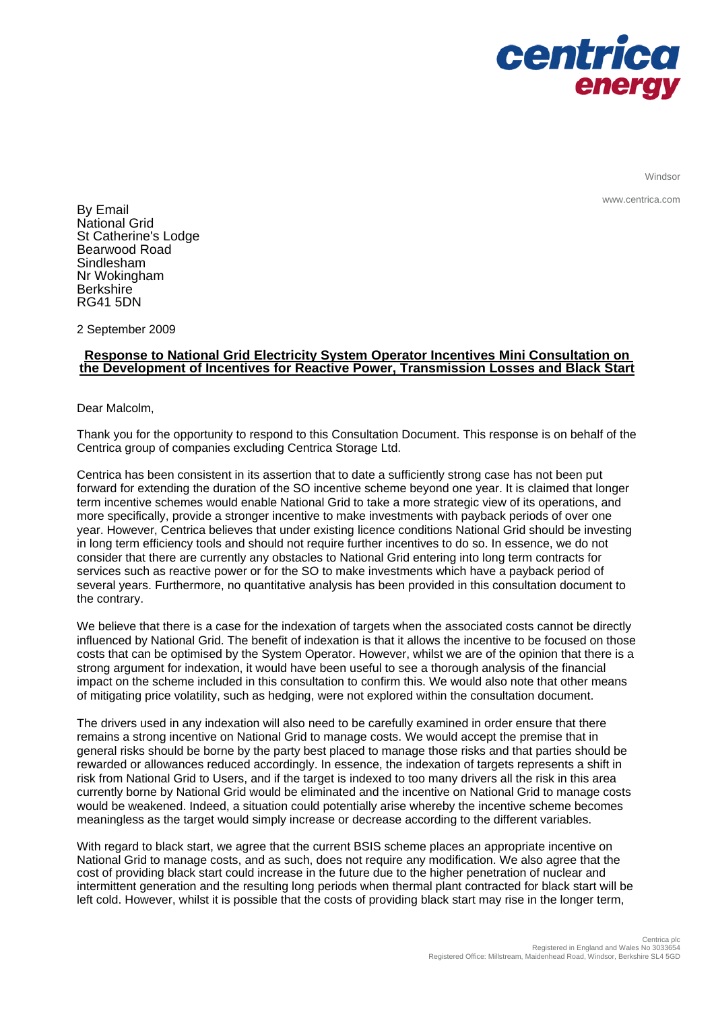

Windsor

www.centrica.com

By Email National Grid St Catherine's Lodge Bearwood Road Sindlesham Nr Wokingham **Berkshire** RG41 5DN

2 September 2009

# **Response to National Grid Electricity System Operator Incentives Mini Consultation on the Development of Incentives for Reactive Power, Transmission Losses and Black Start**

Dear Malcolm,

Thank you for the opportunity to respond to this Consultation Document. This response is on behalf of the Centrica group of companies excluding Centrica Storage Ltd.

Centrica has been consistent in its assertion that to date a sufficiently strong case has not been put forward for extending the duration of the SO incentive scheme beyond one year. It is claimed that longer term incentive schemes would enable National Grid to take a more strategic view of its operations, and more specifically, provide a stronger incentive to make investments with payback periods of over one year. However, Centrica believes that under existing licence conditions National Grid should be investing in long term efficiency tools and should not require further incentives to do so. In essence, we do not consider that there are currently any obstacles to National Grid entering into long term contracts for services such as reactive power or for the SO to make investments which have a payback period of several years. Furthermore, no quantitative analysis has been provided in this consultation document to the contrary.

We believe that there is a case for the indexation of targets when the associated costs cannot be directly influenced by National Grid. The benefit of indexation is that it allows the incentive to be focused on those costs that can be optimised by the System Operator. However, whilst we are of the opinion that there is a strong argument for indexation, it would have been useful to see a thorough analysis of the financial impact on the scheme included in this consultation to confirm this. We would also note that other means of mitigating price volatility, such as hedging, were not explored within the consultation document.

The drivers used in any indexation will also need to be carefully examined in order ensure that there remains a strong incentive on National Grid to manage costs. We would accept the premise that in general risks should be borne by the party best placed to manage those risks and that parties should be rewarded or allowances reduced accordingly. In essence, the indexation of targets represents a shift in risk from National Grid to Users, and if the target is indexed to too many drivers all the risk in this area currently borne by National Grid would be eliminated and the incentive on National Grid to manage costs would be weakened. Indeed, a situation could potentially arise whereby the incentive scheme becomes meaningless as the target would simply increase or decrease according to the different variables.

With regard to black start, we agree that the current BSIS scheme places an appropriate incentive on National Grid to manage costs, and as such, does not require any modification. We also agree that the cost of providing black start could increase in the future due to the higher penetration of nuclear and intermittent generation and the resulting long periods when thermal plant contracted for black start will be left cold. However, whilst it is possible that the costs of providing black start may rise in the longer term,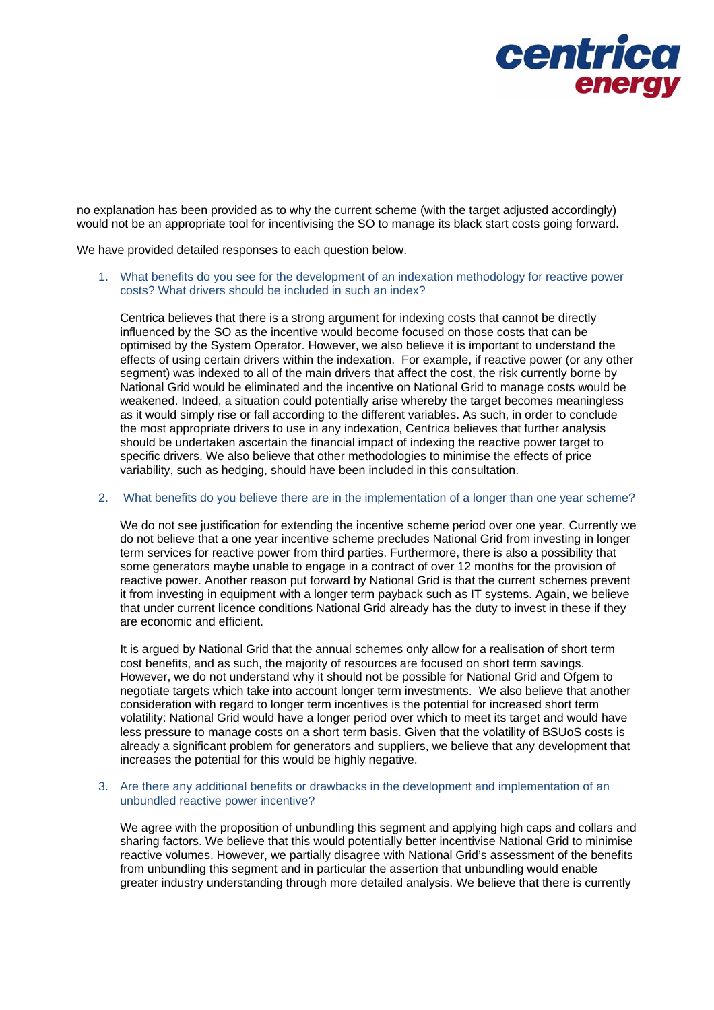

no explanation has been provided as to why the current scheme (with the target adjusted accordingly) would not be an appropriate tool for incentivising the SO to manage its black start costs going forward.

We have provided detailed responses to each question below.

1. What benefits do you see for the development of an indexation methodology for reactive power costs? What drivers should be included in such an index?

Centrica believes that there is a strong argument for indexing costs that cannot be directly influenced by the SO as the incentive would become focused on those costs that can be optimised by the System Operator. However, we also believe it is important to understand the effects of using certain drivers within the indexation. For example, if reactive power (or any other segment) was indexed to all of the main drivers that affect the cost, the risk currently borne by National Grid would be eliminated and the incentive on National Grid to manage costs would be weakened. Indeed, a situation could potentially arise whereby the target becomes meaningless as it would simply rise or fall according to the different variables. As such, in order to conclude the most appropriate drivers to use in any indexation, Centrica believes that further analysis should be undertaken ascertain the financial impact of indexing the reactive power target to specific drivers. We also believe that other methodologies to minimise the effects of price variability, such as hedging, should have been included in this consultation.

2. What benefits do you believe there are in the implementation of a longer than one year scheme?

We do not see justification for extending the incentive scheme period over one year. Currently we do not believe that a one year incentive scheme precludes National Grid from investing in longer term services for reactive power from third parties. Furthermore, there is also a possibility that some generators maybe unable to engage in a contract of over 12 months for the provision of reactive power. Another reason put forward by National Grid is that the current schemes prevent it from investing in equipment with a longer term payback such as IT systems. Again, we believe that under current licence conditions National Grid already has the duty to invest in these if they are economic and efficient.

It is argued by National Grid that the annual schemes only allow for a realisation of short term cost benefits, and as such, the majority of resources are focused on short term savings. However, we do not understand why it should not be possible for National Grid and Ofgem to negotiate targets which take into account longer term investments. We also believe that another consideration with regard to longer term incentives is the potential for increased short term volatility: National Grid would have a longer period over which to meet its target and would have less pressure to manage costs on a short term basis. Given that the volatility of BSUoS costs is already a significant problem for generators and suppliers, we believe that any development that increases the potential for this would be highly negative.

3. Are there any additional benefits or drawbacks in the development and implementation of an unbundled reactive power incentive?

We agree with the proposition of unbundling this segment and applying high caps and collars and sharing factors. We believe that this would potentially better incentivise National Grid to minimise reactive volumes. However, we partially disagree with National Grid's assessment of the benefits from unbundling this segment and in particular the assertion that unbundling would enable greater industry understanding through more detailed analysis. We believe that there is currently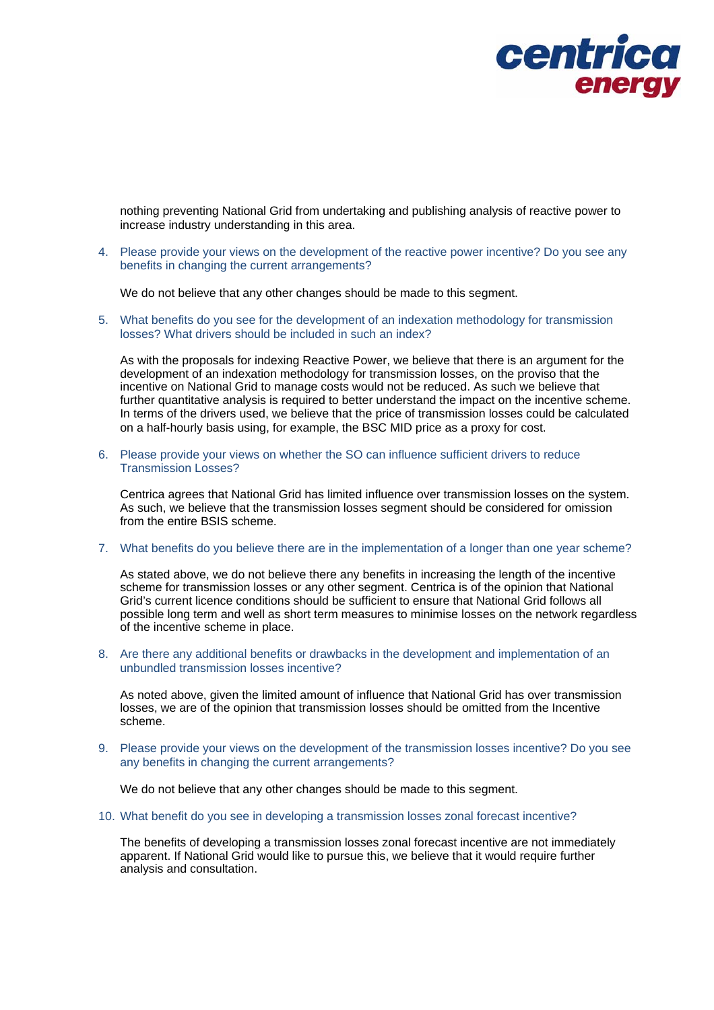

nothing preventing National Grid from undertaking and publishing analysis of reactive power to increase industry understanding in this area.

4. Please provide your views on the development of the reactive power incentive? Do you see any benefits in changing the current arrangements?

We do not believe that any other changes should be made to this segment.

5. What benefits do you see for the development of an indexation methodology for transmission losses? What drivers should be included in such an index?

As with the proposals for indexing Reactive Power, we believe that there is an argument for the development of an indexation methodology for transmission losses, on the proviso that the incentive on National Grid to manage costs would not be reduced. As such we believe that further quantitative analysis is required to better understand the impact on the incentive scheme. In terms of the drivers used, we believe that the price of transmission losses could be calculated on a half-hourly basis using, for example, the BSC MID price as a proxy for cost.

6. Please provide your views on whether the SO can influence sufficient drivers to reduce Transmission Losses?

Centrica agrees that National Grid has limited influence over transmission losses on the system. As such, we believe that the transmission losses segment should be considered for omission from the entire BSIS scheme.

### 7. What benefits do you believe there are in the implementation of a longer than one year scheme?

As stated above, we do not believe there any benefits in increasing the length of the incentive scheme for transmission losses or any other segment. Centrica is of the opinion that National Grid's current licence conditions should be sufficient to ensure that National Grid follows all possible long term and well as short term measures to minimise losses on the network regardless of the incentive scheme in place.

8. Are there any additional benefits or drawbacks in the development and implementation of an unbundled transmission losses incentive?

As noted above, given the limited amount of influence that National Grid has over transmission losses, we are of the opinion that transmission losses should be omitted from the Incentive scheme.

9. Please provide your views on the development of the transmission losses incentive? Do you see any benefits in changing the current arrangements?

We do not believe that any other changes should be made to this segment.

10. What benefit do you see in developing a transmission losses zonal forecast incentive?

The benefits of developing a transmission losses zonal forecast incentive are not immediately apparent. If National Grid would like to pursue this, we believe that it would require further analysis and consultation.